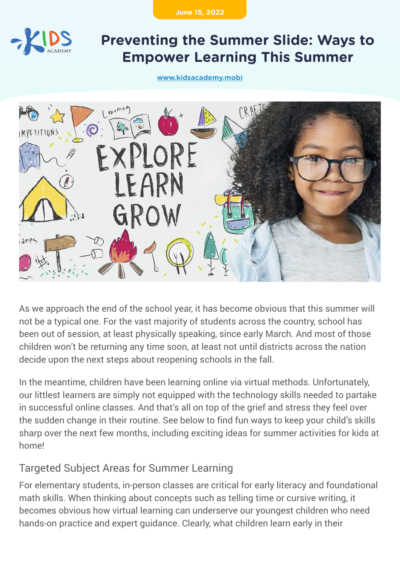**June 15, 2022**



# **Preventing the Summer Slide: Ways to Empower Learning This Summer**

**[www.kidsacademy.mobi](https://www.kidsacademy.mobi/)**



As we approach the end of the school year, it has become obvious that this summer will not be a typical one. For the vast majority of students across the country, school has been out of session, at least physically speaking, since early March. And most of those children won't be returning any time soon, at least not until districts across the nation decide upon the next steps about reopening schools in the fall.

In the meantime, children have been learning online via virtual methods. Unfortunately, our littlest learners are simply not equipped with the technology skills needed to partake in successful online classes. And that's all on top of the grief and stress they feel over the sudden change in their routine. See below to find fun ways to keep your child's skills sharp over the next few months, including exciting ideas for summer activities for kids at homel

## Targeted Subject Areas for Summer Learning

For elementary students, in-person classes are critical for early literacy and foundational math skills. When thinking about concepts such as telling time or cursive writing, it becomes obvious how virtual learning can underserve our youngest children who need hands-on practice and expert guidance. Clearly, what children learn early in their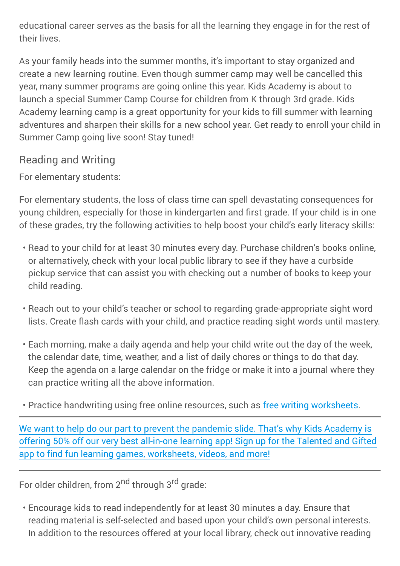educational career serves as the basis for all the learning they engage in for the rest of their lives.

As your family heads into the summer months, it's important to stay organized and create a new learning routine. Even though summer camp may well be cancelled this year, many summer programs are going online this year. Kids Academy is about to launch a special Summer Camp Course for children from K through 3rd grade. Kids Academy learning camp is a great opportunity for your kids to fill summer with learning adventures and sharpen their skills for a new school year. Get ready to enroll your child in Summer Camp going live soon! Stay tuned!

# Reading and Writing

For elementary students:

For elementary students, the loss of class time can spell devastating consequences for young children, especially for those in kindergarten and first grade. If your child is in one of these grades, try the following activities to help boost your child's early literacy skills:

- Read to your child for at least 30 minutes every day. Purchase children's books online, or alternatively, check with your local public library to see if they have a curbside pickup service that can assist you with checking out a number of books to keep your child reading.
- Reach out to your child's teacher or school to regarding grade-appropriate sight word lists. Create flash cards with your child, and practice reading sight words until mastery.
- Each morning, make a daily agenda and help your child write out the day of the week, the calendar date, time, weather, and a list of daily chores or things to do that day. Keep the agenda on a large calendar on the fridge or make it into a journal where they can practice writing all the above information.

• Practice handwriting using free online resources, such as [free writing worksheets.](https://www.kidsacademy.mobi/printable-worksheets/writing/?ordering=popularity)

[We want to help do our part to prevent the pandemic slide. That's why Kids Academy is](https://www.kidsacademy.mobi/subscription-plan/summer-camp/) [offering 50% off our very best all-in-one learning app! Sign up for the Talented and Gifted](https://www.kidsacademy.mobi/subscription-plan/summer-camp/) [app to find fun learning games, worksheets, videos, and more!](https://www.kidsacademy.mobi/subscription-plan/summer-camp/)

For older children, from 2<sup>nd</sup> through 3<sup>rd</sup> grade:

Encourage kids to read independently for at least 30 minutes a day. Ensure that • reading material is self-selected and based upon your child's own personal interests. In addition to the resources offered at your local library, check out innovative reading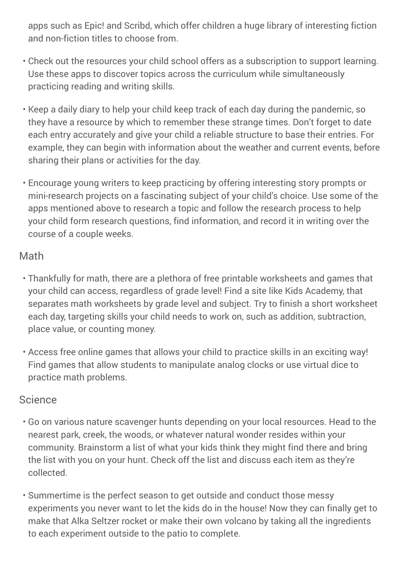apps such as Epic! and Scribd, which offer children a huge library of interesting fiction and non-fiction titles to choose from.

- Check out the resources your child school offers as a subscription to support learning. Use these apps to discover topics across the curriculum while simultaneously practicing reading and writing skills.
- Keep a daily diary to help your child keep track of each day during the pandemic, so they have a resource by which to remember these strange times. Don't forget to date each entry accurately and give your child a reliable structure to base their entries. For example, they can begin with information about the weather and current events, before sharing their plans or activities for the day.
- Encourage young writers to keep practicing by offering interesting story prompts or mini-research projects on a fascinating subject of your child's choice. Use some of the apps mentioned above to research a topic and follow the research process to help your child form research questions, find information, and record it in writing over the course of a couple weeks.

#### Math

- Thankfully for math, there are a plethora of free printable worksheets and games that your child can access, regardless of grade level! Find a site like Kids Academy, that separates math worksheets by grade level and subject. Try to finish a short worksheet each day, targeting skills your child needs to work on, such as addition, subtraction, place value, or counting money.
- Access free online games that allows your child to practice skills in an exciting way! Find games that allow students to manipulate analog clocks or use virtual dice to practice math problems.

#### Science

- Go on various nature scavenger hunts depending on your local resources. Head to the nearest park, creek, the woods, or whatever natural wonder resides within your community. Brainstorm a list of what your kids think they might find there and bring the list with you on your hunt. Check off the list and discuss each item as they're collected.
- Summertime is the perfect season to get outside and conduct those messy experiments you never want to let the kids do in the house! Now they can finally get to make that Alka Seltzer rocket or make their own volcano by taking all the ingredients to each experiment outside to the patio to complete.